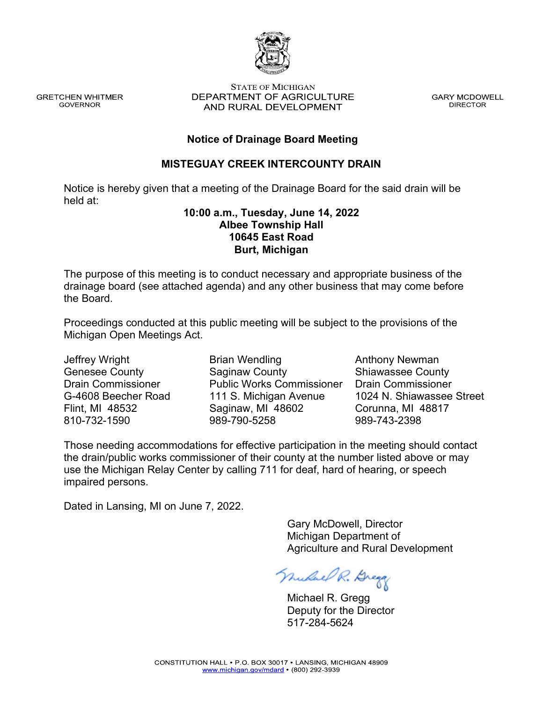**GRETCHEN WHITMER GOVERNOR** 

#### **STATE OF MICHIGAN** DEPARTMENT OF AGRICULTURE AND RURAL DEVELOPMENT

**GARY MCDOWELL DIRECTOR** 

### **Notice of Drainage Board Meeting**

### **MISTEGUAY CREEK INTERCOUNTY DRAIN**

Notice is hereby given that a meeting of the Drainage Board for the said drain will be held at:

#### **10:00 a.m., Tuesday, June 14, 2022 Albee Township Hall 10645 East Road Burt, Michigan**

The purpose of this meeting is to conduct necessary and appropriate business of the drainage board (see attached agenda) and any other business that may come before the Board.

Proceedings conducted at this public meeting will be subject to the provisions of the Michigan Open Meetings Act.

Jeffrey Wright Genesee County Drain Commissioner G-4608 Beecher Road Flint, MI 48532 810-732-1590

Brian Wendling Saginaw County Public Works Commissioner 111 S. Michigan Avenue Saginaw, MI 48602 989-790-5258

Anthony Newman Shiawassee County Drain Commissioner 1024 N. Shiawassee Street Corunna, MI 48817 989-743-2398

Those needing accommodations for effective participation in the meeting should contact the drain/public works commissioner of their county at the number listed above or may use the Michigan Relay Center by calling 711 for deaf, hard of hearing, or speech impaired persons.

Dated in Lansing, MI on June 7, 2022.

 Gary McDowell, Director Michigan Department of Agriculture and Rural Development

Muchael R. Dregg

 Michael R. Gregg Deputy for the Director 517-284-5624

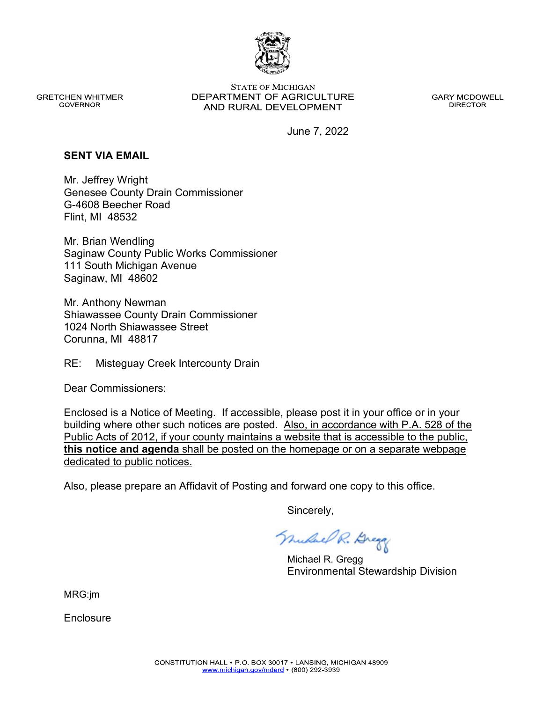

**GRETCHEN WHITMER GOVERNOR** 

**STATE OF MICHIGAN** DEPARTMENT OF AGRICULTURE AND RURAL DEVELOPMENT

**GARY MCDOWELL DIRECTOR** 

June 7, 2022

#### **SENT VIA EMAIL**

Mr. Jeffrey Wright Genesee County Drain Commissioner G-4608 Beecher Road Flint, MI 48532

Mr. Brian Wendling Saginaw County Public Works Commissioner 111 South Michigan Avenue Saginaw, MI 48602

Mr. Anthony Newman Shiawassee County Drain Commissioner 1024 North Shiawassee Street Corunna, MI 48817

RE: Misteguay Creek Intercounty Drain

Dear Commissioners:

Enclosed is a Notice of Meeting. If accessible, please post it in your office or in your building where other such notices are posted. Also, in accordance with P.A. 528 of the Public Acts of 2012, if your county maintains a website that is accessible to the public, **this notice and agenda** shall be posted on the homepage or on a separate webpage dedicated to public notices.

Also, please prepare an Affidavit of Posting and forward one copy to this office.

Sincerely,

Muluel R. Dregg

 Michael R. Gregg Environmental Stewardship Division

MRG:jm

**Enclosure**